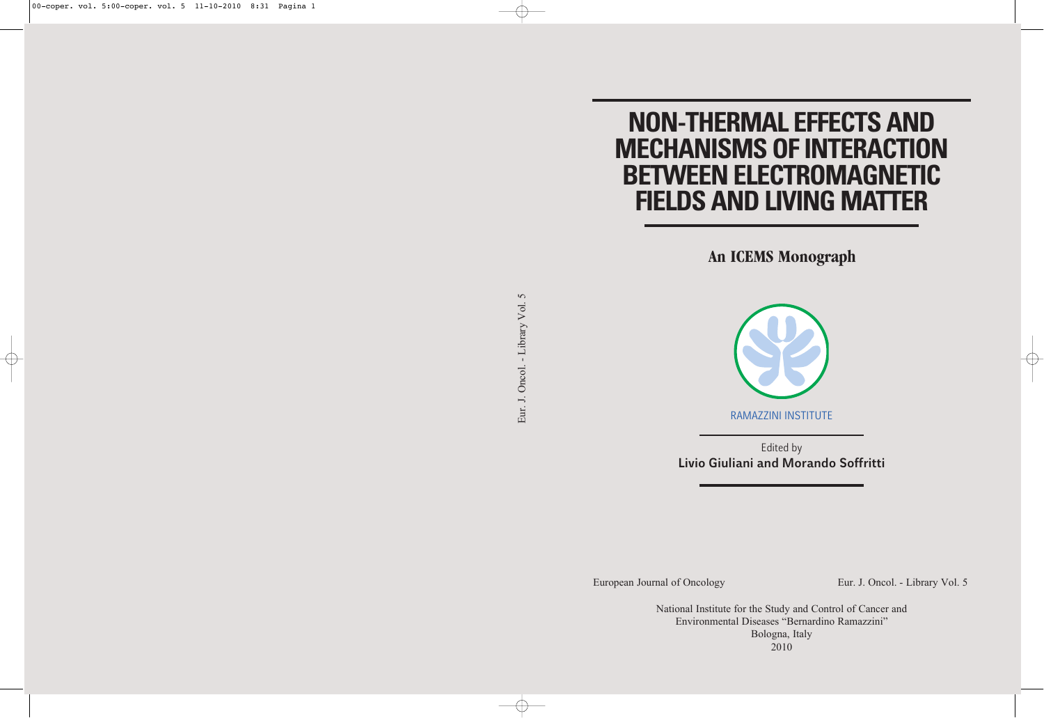# **NON-THERMAL EFFECTS AND MECHANISMS OF INTERACTION BETWEEN ELECTROMAGNETIC FIELDS AND LIVING MATTER**

# **An ICEMS Monograph**



Edited by **Livio Giuliani and Morando Soffritti**

European Journal of Oncology Eur. J. Oncol. - Library Vol. 5

National Institute for the Study and Control of Cancer and Environmental Diseases "Bernardino Ramazzini" Bologna, Italy 2010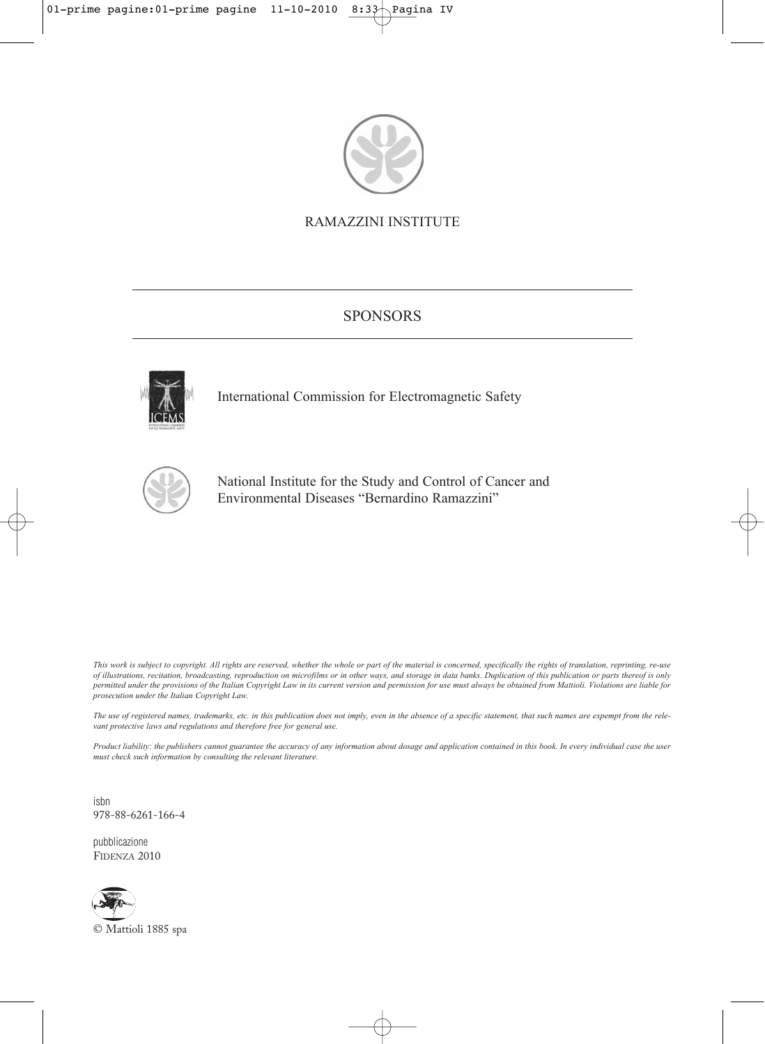

#### RAMAZZINI INSTITUTE

#### **SPONSORS**



International Commission for Electromagnetic Safety



National Institute for the Study and Control of Cancer and Environmental Diseases "Bernardino Ramazzini"

*This work is subject to copyright. All rights are reserved, whether the whole or part of the material is concerned, specifically the rights of translation, reprinting, re-use of illustrations, recitation, broadcasting, reproduction on microfilms or in other ways, and storage in data banks. Duplication of this publication or parts thereof is only permitted under the provisions of the Italian Copyright Law in its current version and permission for use must always be obtained from Mattioli. Violations are liable for prosecution under the Italian Copyright Law.*

*The use of registered names, trademarks, etc. in this publication does not imply, even in the absence of a specific statement, that such names are expempt from the relevant protective laws and regulations and therefore free for general use.*

*Product liability: the publishers cannot guarantee the accuracy of any information about dosage and application contained in this book. In every individual case the user must check such information by consulting the relevant literature.*

isbn 978-88-6261-166-4

pubblicazione FIDENZA 2010

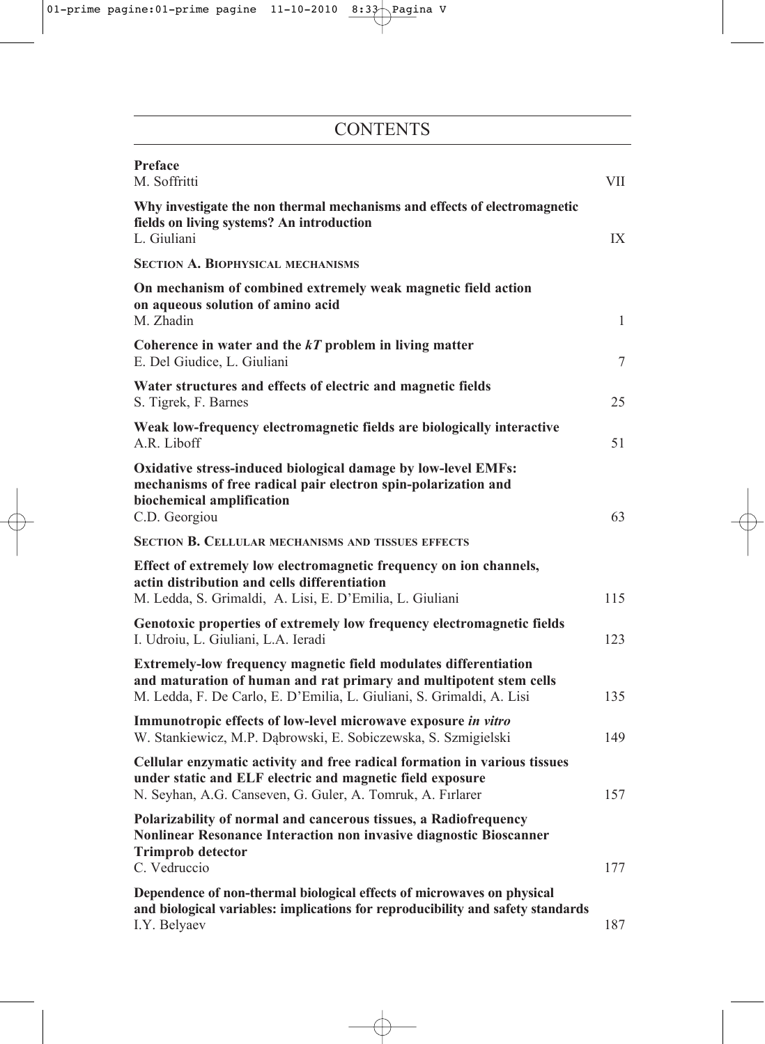### **CONTENTS**

| Preface<br>M. Soffritti                                                                                                                                                                                         | VII          |
|-----------------------------------------------------------------------------------------------------------------------------------------------------------------------------------------------------------------|--------------|
| Why investigate the non thermal mechanisms and effects of electromagnetic<br>fields on living systems? An introduction<br>L. Giuliani                                                                           | IX           |
| <b>SECTION A. BIOPHYSICAL MECHANISMS</b>                                                                                                                                                                        |              |
| On mechanism of combined extremely weak magnetic field action<br>on aqueous solution of amino acid<br>M. Zhadin                                                                                                 | $\mathbf{1}$ |
| Coherence in water and the $kT$ problem in living matter<br>E. Del Giudice, L. Giuliani                                                                                                                         | 7            |
| Water structures and effects of electric and magnetic fields<br>S. Tigrek, F. Barnes                                                                                                                            | 25           |
| Weak low-frequency electromagnetic fields are biologically interactive<br>A.R. Liboff                                                                                                                           | 51           |
| Oxidative stress-induced biological damage by low-level EMFs:<br>mechanisms of free radical pair electron spin-polarization and<br>biochemical amplification<br>C.D. Georgiou                                   | 63           |
| <b>SECTION B. CELLULAR MECHANISMS AND TISSUES EFFECTS</b>                                                                                                                                                       |              |
| Effect of extremely low electromagnetic frequency on ion channels,<br>actin distribution and cells differentiation<br>M. Ledda, S. Grimaldi, A. Lisi, E. D'Emilia, L. Giuliani                                  | 115          |
| Genotoxic properties of extremely low frequency electromagnetic fields<br>I. Udroiu, L. Giuliani, L.A. Ieradi                                                                                                   | 123          |
| Extremely-low frequency magnetic field modulates differentiation<br>and maturation of human and rat primary and multipotent stem cells<br>M. Ledda, F. De Carlo, E. D'Emilia, L. Giuliani, S. Grimaldi, A. Lisi | 135          |
| Immunotropic effects of low-level microwave exposure in vitro<br>W. Stankiewicz, M.P. Dąbrowski, E. Sobiczewska, S. Szmigielski                                                                                 | 149          |
| Cellular enzymatic activity and free radical formation in various tissues<br>under static and ELF electric and magnetic field exposure<br>N. Seyhan, A.G. Canseven, G. Guler, A. Tomruk, A. Fırlarer            | 157          |
| Polarizability of normal and cancerous tissues, a Radiofrequency<br>Nonlinear Resonance Interaction non invasive diagnostic Bioscanner<br><b>Trimprob detector</b><br>C. Vedruccio                              | 177          |
| Dependence of non-thermal biological effects of microwaves on physical<br>and biological variables: implications for reproducibility and safety standards<br>I.Y. Belyaev                                       | 187          |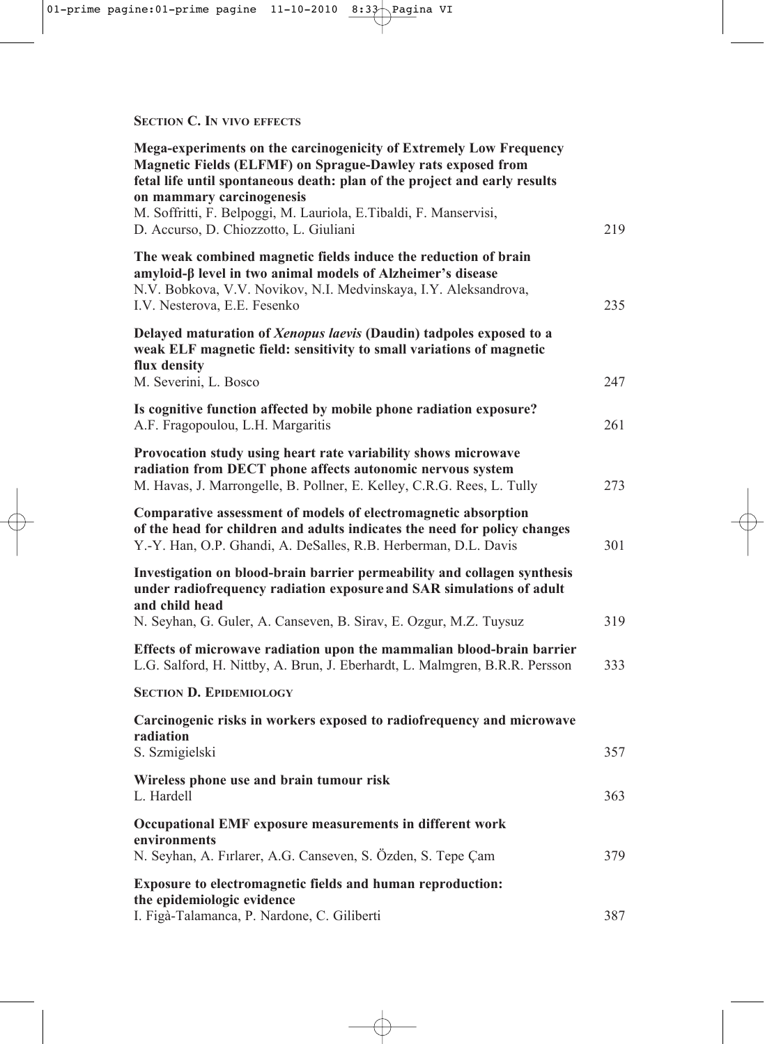#### **SECTION C. IN VIVO EFFECTS**

| Mega-experiments on the carcinogenicity of Extremely Low Frequency<br>Magnetic Fields (ELFMF) on Sprague-Dawley rats exposed from<br>fetal life until spontaneous death: plan of the project and early results<br>on mammary carcinogenesis<br>M. Soffritti, F. Belpoggi, M. Lauriola, E. Tibaldi, F. Manservisi,<br>D. Accurso, D. Chiozzotto, L. Giuliani | 219 |
|-------------------------------------------------------------------------------------------------------------------------------------------------------------------------------------------------------------------------------------------------------------------------------------------------------------------------------------------------------------|-----|
| The weak combined magnetic fields induce the reduction of brain<br>amyloid-β level in two animal models of Alzheimer's disease<br>N.V. Bobkova, V.V. Novikov, N.I. Medvinskaya, I.Y. Aleksandrova,<br>I.V. Nesterova, E.E. Fesenko                                                                                                                          | 235 |
| Delayed maturation of Xenopus laevis (Daudin) tadpoles exposed to a<br>weak ELF magnetic field: sensitivity to small variations of magnetic<br>flux density                                                                                                                                                                                                 |     |
| M. Severini, L. Bosco                                                                                                                                                                                                                                                                                                                                       | 247 |
| Is cognitive function affected by mobile phone radiation exposure?<br>A.F. Fragopoulou, L.H. Margaritis                                                                                                                                                                                                                                                     | 261 |
| Provocation study using heart rate variability shows microwave<br>radiation from DECT phone affects autonomic nervous system<br>M. Havas, J. Marrongelle, B. Pollner, E. Kelley, C.R.G. Rees, L. Tully                                                                                                                                                      | 273 |
| Comparative assessment of models of electromagnetic absorption<br>of the head for children and adults indicates the need for policy changes<br>Y.-Y. Han, O.P. Ghandi, A. DeSalles, R.B. Herberman, D.L. Davis                                                                                                                                              | 301 |
| Investigation on blood-brain barrier permeability and collagen synthesis<br>under radiofrequency radiation exposure and SAR simulations of adult<br>and child head<br>N. Seyhan, G. Guler, A. Canseven, B. Sirav, E. Ozgur, M.Z. Tuysuz                                                                                                                     | 319 |
| Effects of microwave radiation upon the mammalian blood-brain barrier<br>L.G. Salford, H. Nittby, A. Brun, J. Eberhardt, L. Malmgren, B.R.R. Persson                                                                                                                                                                                                        | 333 |
| <b>SECTION D. EPIDEMIOLOGY</b>                                                                                                                                                                                                                                                                                                                              |     |
| Carcinogenic risks in workers exposed to radiofrequency and microwave<br>radiation                                                                                                                                                                                                                                                                          |     |
| S. Szmigielski                                                                                                                                                                                                                                                                                                                                              | 357 |
| Wireless phone use and brain tumour risk<br>L. Hardell                                                                                                                                                                                                                                                                                                      | 363 |
| Occupational EMF exposure measurements in different work<br>environments                                                                                                                                                                                                                                                                                    |     |
| N. Seyhan, A. Fırlarer, A.G. Canseven, S. Özden, S. Tepe Çam                                                                                                                                                                                                                                                                                                | 379 |
| Exposure to electromagnetic fields and human reproduction:<br>the epidemiologic evidence<br>I. Figà-Talamanca, P. Nardone, C. Giliberti                                                                                                                                                                                                                     | 387 |
|                                                                                                                                                                                                                                                                                                                                                             |     |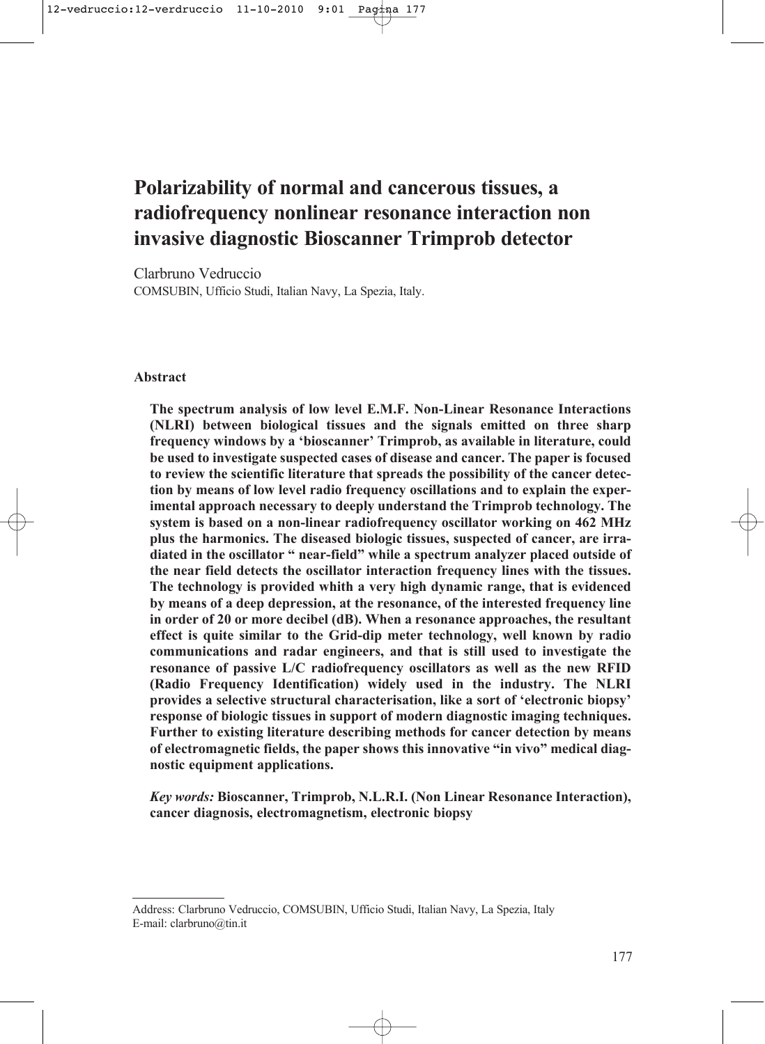## **Polarizability of normal and cancerous tissues, a radiofrequency nonlinear resonance interaction non invasive diagnostic Bioscanner Trimprob detector**

Clarbruno Vedruccio COMSUBIN, Ufficio Studi, Italian Navy, La Spezia, Italy.

#### **Abstract**

**The spectrum analysis of low level E.M.F. Non-Linear Resonance Interactions (NLRI) between biological tissues and the signals emitted on three sharp frequency windows by a 'bioscanner' Trimprob, as available in literature, could be used to investigate suspected cases of disease and cancer. The paper is focused to review the scientific literature that spreads the possibility of the cancer detection by means of low level radio frequency oscillations and to explain the experimental approach necessary to deeply understand the Trimprob technology. The system is based on a non-linear radiofrequency oscillator working on 462 MHz plus the harmonics. The diseased biologic tissues, suspected of cancer, are irradiated in the oscillator " near-field" while a spectrum analyzer placed outside of the near field detects the oscillator interaction frequency lines with the tissues. The technology is provided whith a very high dynamic range, that is evidenced by means of a deep depression, at the resonance, of the interested frequency line in order of 20 or more decibel (dB). When a resonance approaches, the resultant effect is quite similar to the Grid-dip meter technology, well known by radio communications and radar engineers, and that is still used to investigate the resonance of passive L/C radiofrequency oscillators as well as the new RFID (Radio Frequency Identification) widely used in the industry. The NLRI provides a selective structural characterisation, like a sort of 'electronic biopsy' response of biologic tissues in support of modern diagnostic imaging techniques. Further to existing literature describing methods for cancer detection by means of electromagnetic fields, the paper shows this innovative "in vivo" medical diagnostic equipment applications.**

*Key words:* **Bioscanner, Trimprob, N.L.R.I. (Non Linear Resonance Interaction), cancer diagnosis, electromagnetism, electronic biopsy**

Address: Clarbruno Vedruccio, COMSUBIN, Ufficio Studi, Italian Navy, La Spezia, Italy E-mail: clarbruno@tin.it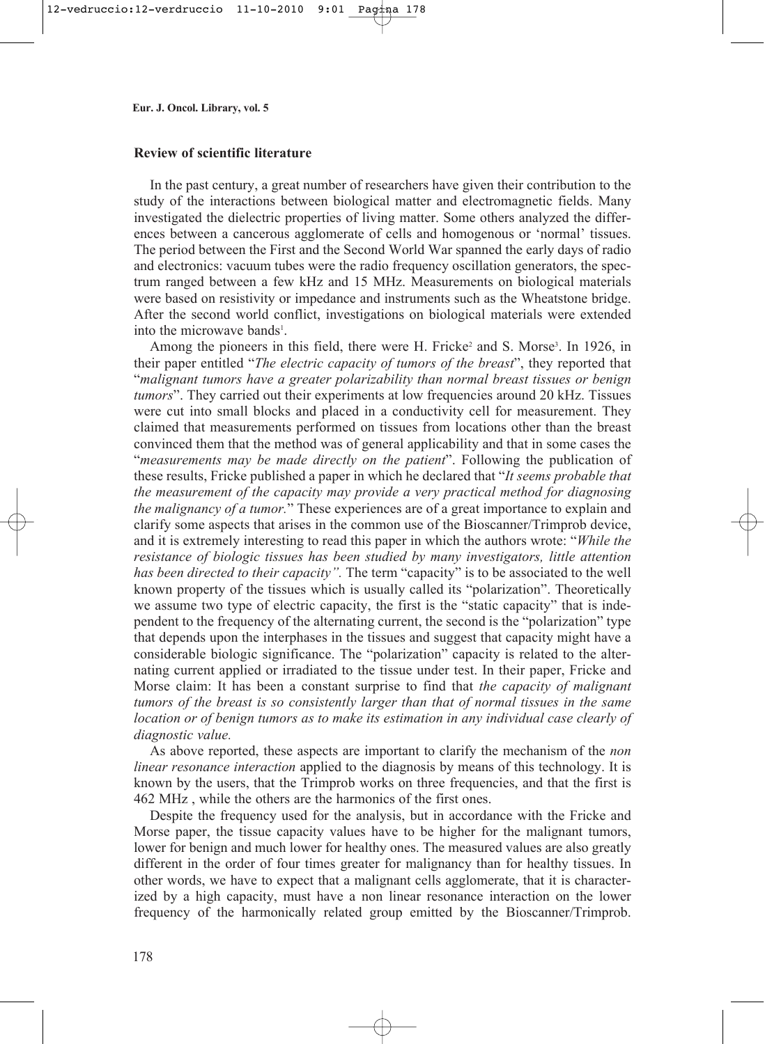#### **Review of scientific literature**

In the past century, a great number of researchers have given their contribution to the study of the interactions between biological matter and electromagnetic fields. Many investigated the dielectric properties of living matter. Some others analyzed the differences between a cancerous agglomerate of cells and homogenous or 'normal' tissues. The period between the First and the Second World War spanned the early days of radio and electronics: vacuum tubes were the radio frequency oscillation generators, the spectrum ranged between a few kHz and 15 MHz. Measurements on biological materials were based on resistivity or impedance and instruments such as the Wheatstone bridge. After the second world conflict, investigations on biological materials were extended into the microwave bands<sup>1</sup>.

Among the pioneers in this field, there were H. Fricke<sup>2</sup> and S. Morse<sup>3</sup>. In 1926, in their paper entitled "*The electric capacity of tumors of the breast*", they reported that "*malignant tumors have a greater polarizability than normal breast tissues or benign tumors*". They carried out their experiments at low frequencies around 20 kHz. Tissues were cut into small blocks and placed in a conductivity cell for measurement. They claimed that measurements performed on tissues from locations other than the breast convinced them that the method was of general applicability and that in some cases the "*measurements may be made directly on the patient*". Following the publication of these results, Fricke published a paper in which he declared that "*It seems probable that the measurement of the capacity may provide a very practical method for diagnosing the malignancy of a tumor.*" These experiences are of a great importance to explain and clarify some aspects that arises in the common use of the Bioscanner/Trimprob device, and it is extremely interesting to read this paper in which the authors wrote: "*While the resistance of biologic tissues has been studied by many investigators, little attention has been directed to their capacity".* The term "capacity" is to be associated to the well known property of the tissues which is usually called its "polarization". Theoretically we assume two type of electric capacity, the first is the "static capacity" that is independent to the frequency of the alternating current, the second is the "polarization" type that depends upon the interphases in the tissues and suggest that capacity might have a considerable biologic significance. The "polarization" capacity is related to the alternating current applied or irradiated to the tissue under test. In their paper, Fricke and Morse claim: It has been a constant surprise to find that *the capacity of malignant tumors of the breast is so consistently larger than that of normal tissues in the same location or of benign tumors as to make its estimation in any individual case clearly of diagnostic value.*

As above reported, these aspects are important to clarify the mechanism of the *non linear resonance interaction* applied to the diagnosis by means of this technology. It is known by the users, that the Trimprob works on three frequencies, and that the first is 462 MHz , while the others are the harmonics of the first ones.

Despite the frequency used for the analysis, but in accordance with the Fricke and Morse paper, the tissue capacity values have to be higher for the malignant tumors, lower for benign and much lower for healthy ones. The measured values are also greatly different in the order of four times greater for malignancy than for healthy tissues. In other words, we have to expect that a malignant cells agglomerate, that it is characterized by a high capacity, must have a non linear resonance interaction on the lower frequency of the harmonically related group emitted by the Bioscanner/Trimprob.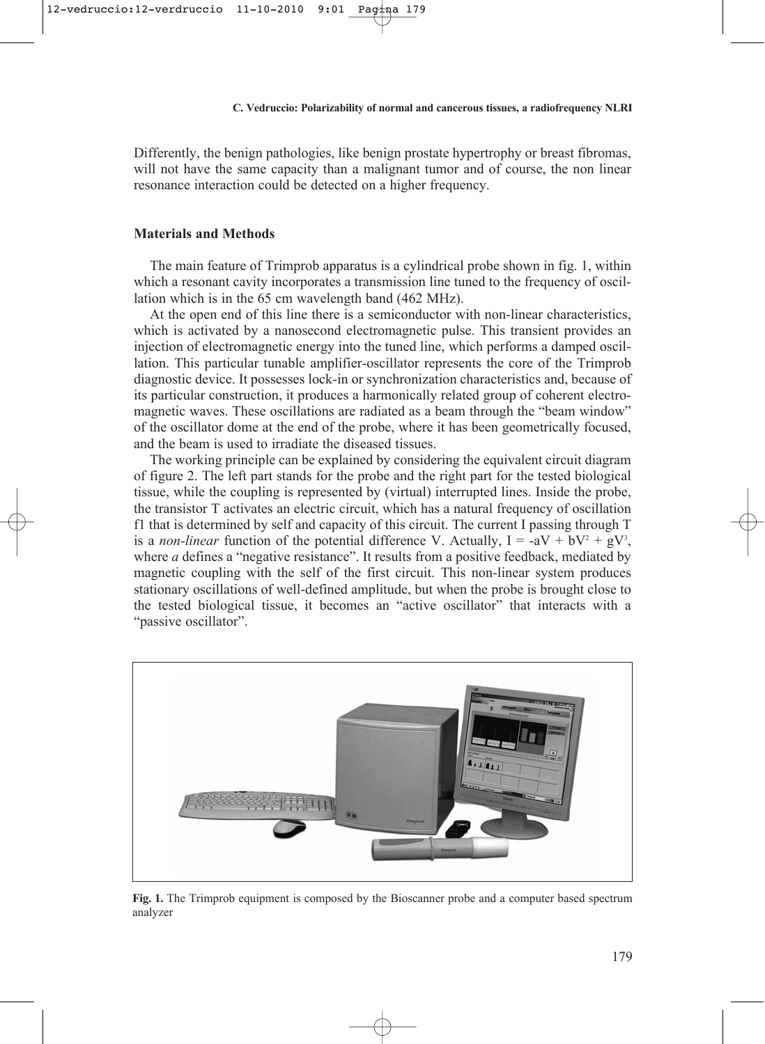Differently, the benign pathologies, like benign prostate hypertrophy or breast fibromas, will not have the same capacity than a malignant tumor and of course, the non linear resonance interaction could be detected on a higher frequency.

#### **Materials and Methods**

The main feature of Trimprob apparatus is a cylindrical probe shown in fig. 1, within which a resonant cavity incorporates a transmission line tuned to the frequency of oscillation which is in the 65 cm wavelength band (462 MHz).

At the open end of this line there is a semiconductor with non-linear characteristics, which is activated by a nanosecond electromagnetic pulse. This transient provides an injection of electromagnetic energy into the tuned line, which performs a damped oscillation. This particular tunable amplifier-oscillator represents the core of the Trimprob diagnostic device. It possesses lock-in or synchronization characteristics and, because of its particular construction, it produces a harmonically related group of coherent electromagnetic waves. These oscillations are radiated as a beam through the "beam window" of the oscillator dome at the end of the probe, where it has been geometrically focused, and the beam is used to irradiate the diseased tissues.

The working principle can be explained by considering the equivalent circuit diagram of figure 2. The left part stands for the probe and the right part for the tested biological tissue, while the coupling is represented by (virtual) interrupted lines. Inside the probe, the transistor T activates an electric circuit, which has a natural frequency of oscillation f1 that is determined by self and capacity of this circuit. The current I passing through T is a *non-linear* function of the potential difference V. Actually,  $I = -aV + bV^2 + gV^3$ , where *a* defines a "negative resistance". It results from a positive feedback, mediated by magnetic coupling with the self of the first circuit. This non-linear system produces stationary oscillations of well-defined amplitude, but when the probe is brought close to the tested biological tissue, it becomes an "active oscillator" that interacts with a "passive oscillator".



**Fig. 1.** The Trimprob equipment is composed by the Bioscanner probe and a computer based spectrum analyzer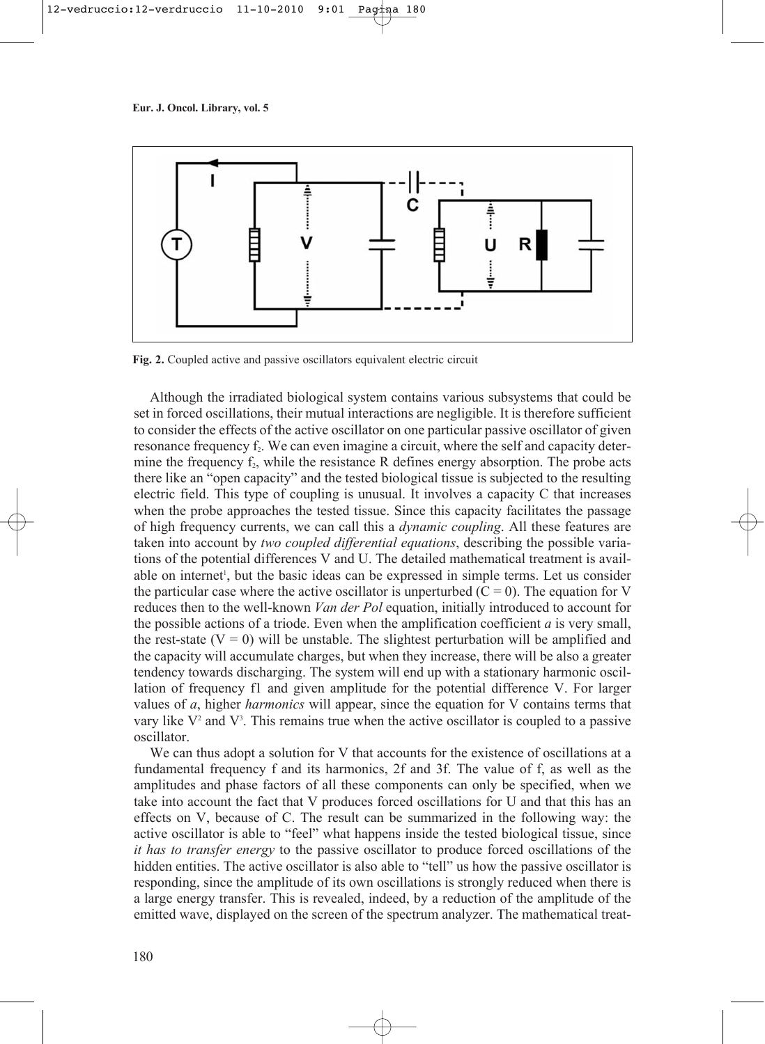

**Fig. 2.** Coupled active and passive oscillators equivalent electric circuit

Although the irradiated biological system contains various subsystems that could be set in forced oscillations, their mutual interactions are negligible. It is therefore sufficient to consider the effects of the active oscillator on one particular passive oscillator of given resonance frequency  $f_2$ . We can even imagine a circuit, where the self and capacity determine the frequency  $f_2$ , while the resistance R defines energy absorption. The probe acts there like an "open capacity" and the tested biological tissue is subjected to the resulting electric field. This type of coupling is unusual. It involves a capacity C that increases when the probe approaches the tested tissue. Since this capacity facilitates the passage of high frequency currents, we can call this a *dynamic coupling*. All these features are taken into account by *two coupled differential equations*, describing the possible variations of the potential differences V and U. The detailed mathematical treatment is available on internet<sup>1</sup>, but the basic ideas can be expressed in simple terms. Let us consider the particular case where the active oscillator is unperturbed  $(C = 0)$ . The equation for V reduces then to the well-known *Van der Pol* equation, initially introduced to account for the possible actions of a triode. Even when the amplification coefficient *a* is very small, the rest-state  $(V = 0)$  will be unstable. The slightest perturbation will be amplified and the capacity will accumulate charges, but when they increase, there will be also a greater tendency towards discharging. The system will end up with a stationary harmonic oscillation of frequency f1 and given amplitude for the potential difference V. For larger values of *a*, higher *harmonics* will appear, since the equation for V contains terms that vary like  $V^2$  and  $V^3$ . This remains true when the active oscillator is coupled to a passive oscillator.

We can thus adopt a solution for V that accounts for the existence of oscillations at a fundamental frequency f and its harmonics, 2f and 3f. The value of f, as well as the amplitudes and phase factors of all these components can only be specified, when we take into account the fact that V produces forced oscillations for U and that this has an effects on V, because of C. The result can be summarized in the following way: the active oscillator is able to "feel" what happens inside the tested biological tissue, since *it has to transfer energy* to the passive oscillator to produce forced oscillations of the hidden entities. The active oscillator is also able to "tell" us how the passive oscillator is responding, since the amplitude of its own oscillations is strongly reduced when there is a large energy transfer. This is revealed, indeed, by a reduction of the amplitude of the emitted wave, displayed on the screen of the spectrum analyzer. The mathematical treat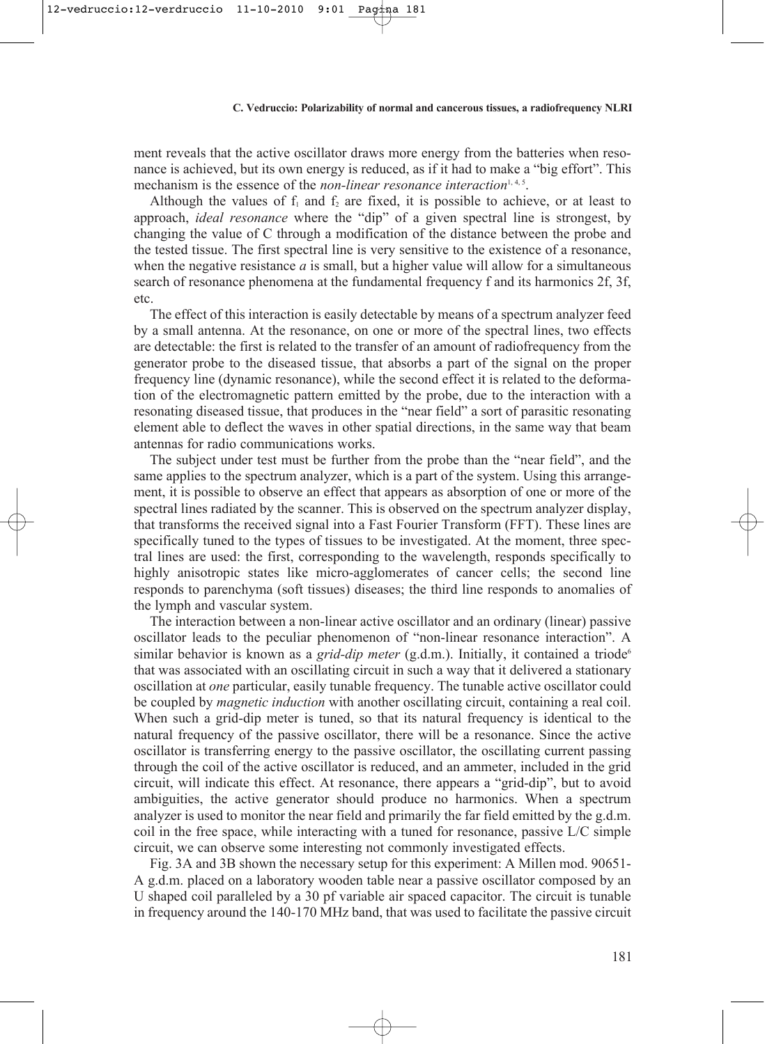ment reveals that the active oscillator draws more energy from the batteries when resonance is achieved, but its own energy is reduced, as if it had to make a "big effort". This mechanism is the essence of the *non-linear resonance interaction*<sup>1, 4, 5</sup>.

Although the values of  $f_1$  and  $f_2$  are fixed, it is possible to achieve, or at least to approach, *ideal resonance* where the "dip" of a given spectral line is strongest, by changing the value of C through a modification of the distance between the probe and the tested tissue. The first spectral line is very sensitive to the existence of a resonance, when the negative resistance *a* is small, but a higher value will allow for a simultaneous search of resonance phenomena at the fundamental frequency f and its harmonics 2f, 3f, etc.

The effect of this interaction is easily detectable by means of a spectrum analyzer feed by a small antenna. At the resonance, on one or more of the spectral lines, two effects are detectable: the first is related to the transfer of an amount of radiofrequency from the generator probe to the diseased tissue, that absorbs a part of the signal on the proper frequency line (dynamic resonance), while the second effect it is related to the deformation of the electromagnetic pattern emitted by the probe, due to the interaction with a resonating diseased tissue, that produces in the "near field" a sort of parasitic resonating element able to deflect the waves in other spatial directions, in the same way that beam antennas for radio communications works.

The subject under test must be further from the probe than the "near field", and the same applies to the spectrum analyzer, which is a part of the system. Using this arrangement, it is possible to observe an effect that appears as absorption of one or more of the spectral lines radiated by the scanner. This is observed on the spectrum analyzer display, that transforms the received signal into a Fast Fourier Transform (FFT). These lines are specifically tuned to the types of tissues to be investigated. At the moment, three spectral lines are used: the first, corresponding to the wavelength, responds specifically to highly anisotropic states like micro-agglomerates of cancer cells; the second line responds to parenchyma (soft tissues) diseases; the third line responds to anomalies of the lymph and vascular system.

The interaction between a non-linear active oscillator and an ordinary (linear) passive oscillator leads to the peculiar phenomenon of "non-linear resonance interaction". A similar behavior is known as a *grid-dip meter* (g.d.m.). Initially, it contained a triode<sup>6</sup> that was associated with an oscillating circuit in such a way that it delivered a stationary oscillation at *one* particular, easily tunable frequency. The tunable active oscillator could be coupled by *magnetic induction* with another oscillating circuit, containing a real coil. When such a grid-dip meter is tuned, so that its natural frequency is identical to the natural frequency of the passive oscillator, there will be a resonance. Since the active oscillator is transferring energy to the passive oscillator, the oscillating current passing through the coil of the active oscillator is reduced, and an ammeter, included in the grid circuit, will indicate this effect. At resonance, there appears a "grid-dip", but to avoid ambiguities, the active generator should produce no harmonics. When a spectrum analyzer is used to monitor the near field and primarily the far field emitted by the g.d.m. coil in the free space, while interacting with a tuned for resonance, passive L/C simple circuit, we can observe some interesting not commonly investigated effects.

Fig. 3A and 3B shown the necessary setup for this experiment: A Millen mod. 90651- A g.d.m. placed on a laboratory wooden table near a passive oscillator composed by an U shaped coil paralleled by a 30 pf variable air spaced capacitor. The circuit is tunable in frequency around the 140-170 MHz band, that was used to facilitate the passive circuit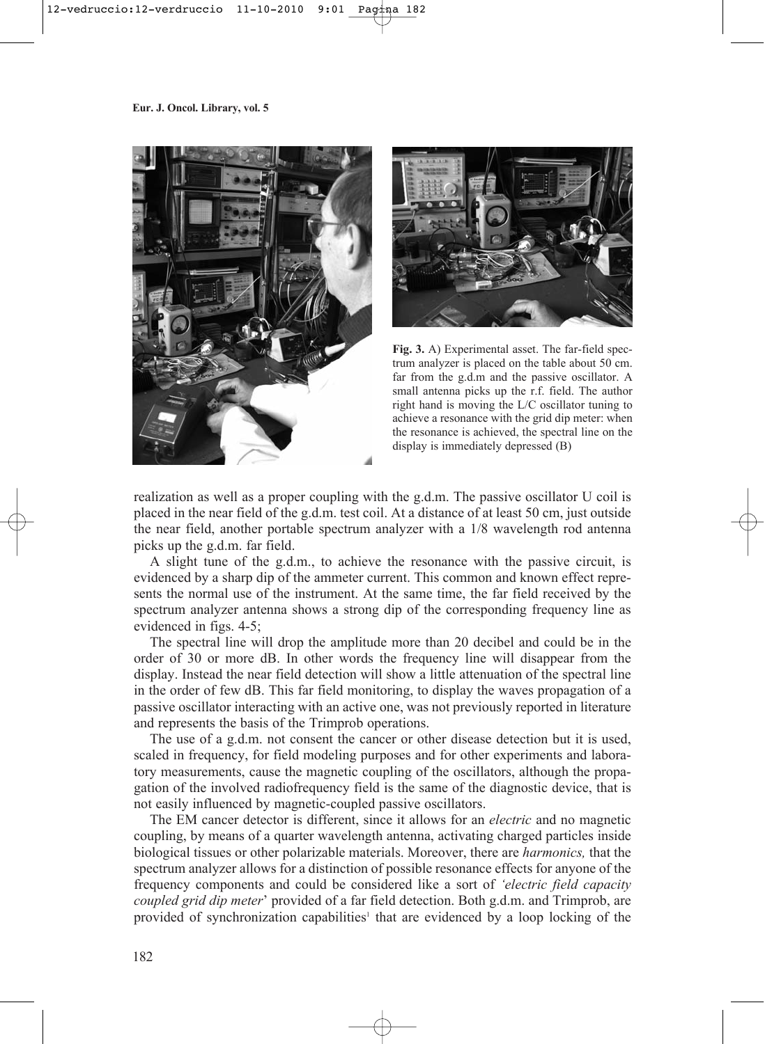



**Fig. 3.** A) Experimental asset. The far-field spectrum analyzer is placed on the table about 50 cm. far from the g.d.m and the passive oscillator. A small antenna picks up the r.f. field. The author right hand is moving the L/C oscillator tuning to achieve a resonance with the grid dip meter: when the resonance is achieved, the spectral line on the display is immediately depressed (B)

realization as well as a proper coupling with the g.d.m. The passive oscillator U coil is placed in the near field of the g.d.m. test coil. At a distance of at least 50 cm, just outside the near field, another portable spectrum analyzer with a 1/8 wavelength rod antenna picks up the g.d.m. far field.

A slight tune of the g.d.m., to achieve the resonance with the passive circuit, is evidenced by a sharp dip of the ammeter current. This common and known effect represents the normal use of the instrument. At the same time, the far field received by the spectrum analyzer antenna shows a strong dip of the corresponding frequency line as evidenced in figs. 4-5;

The spectral line will drop the amplitude more than 20 decibel and could be in the order of 30 or more dB. In other words the frequency line will disappear from the display. Instead the near field detection will show a little attenuation of the spectral line in the order of few dB. This far field monitoring, to display the waves propagation of a passive oscillator interacting with an active one, was not previously reported in literature and represents the basis of the Trimprob operations.

The use of a g.d.m. not consent the cancer or other disease detection but it is used, scaled in frequency, for field modeling purposes and for other experiments and laboratory measurements, cause the magnetic coupling of the oscillators, although the propagation of the involved radiofrequency field is the same of the diagnostic device, that is not easily influenced by magnetic-coupled passive oscillators.

The EM cancer detector is different, since it allows for an *electric* and no magnetic coupling, by means of a quarter wavelength antenna, activating charged particles inside biological tissues or other polarizable materials. Moreover, there are *harmonics,* that the spectrum analyzer allows for a distinction of possible resonance effects for anyone of the frequency components and could be considered like a sort of *'electric field capacity coupled grid dip meter*' provided of a far field detection. Both g.d.m. and Trimprob, are provided of synchronization capabilities<sup>1</sup> that are evidenced by a loop locking of the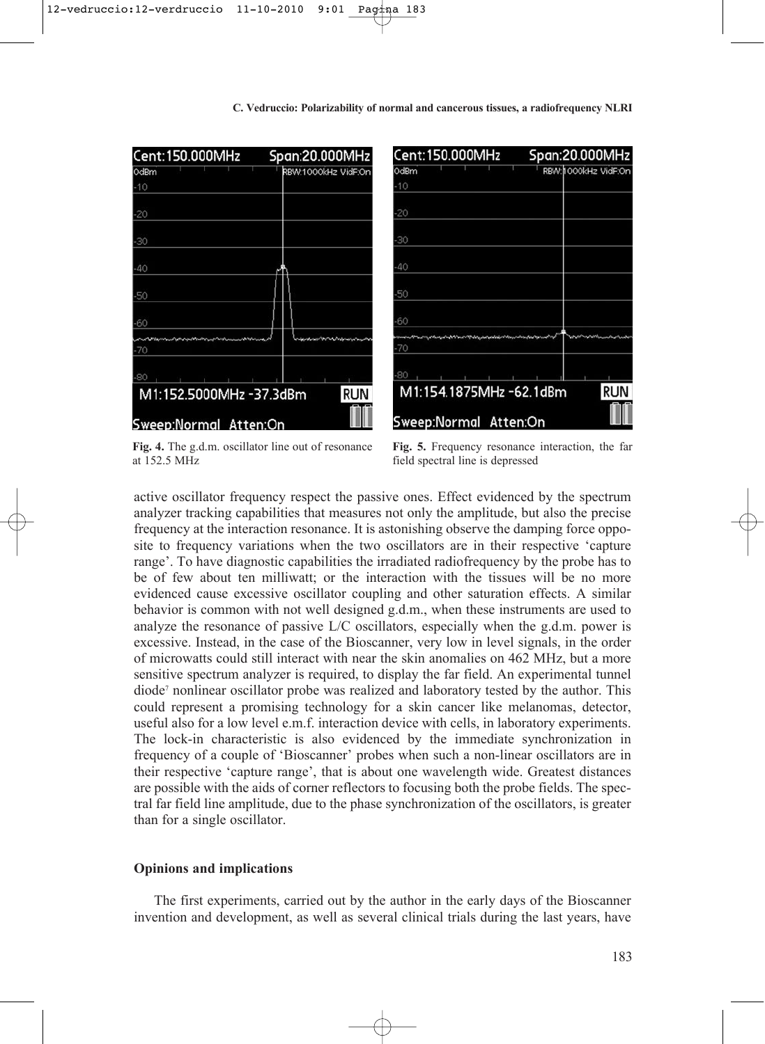**C. Vedruccio: Polarizability of normal and cancerous tissues, a radiofrequency NLRI**



**Fig. 4.** The g.d.m. oscillator line out of resonance at 152.5 MHz

**Fig. 5.** Frequency resonance interaction, the far field spectral line is depressed

active oscillator frequency respect the passive ones. Effect evidenced by the spectrum analyzer tracking capabilities that measures not only the amplitude, but also the precise frequency at the interaction resonance. It is astonishing observe the damping force opposite to frequency variations when the two oscillators are in their respective 'capture range'. To have diagnostic capabilities the irradiated radiofrequency by the probe has to be of few about ten milliwatt; or the interaction with the tissues will be no more evidenced cause excessive oscillator coupling and other saturation effects. A similar behavior is common with not well designed g.d.m., when these instruments are used to analyze the resonance of passive L/C oscillators, especially when the g.d.m. power is excessive. Instead, in the case of the Bioscanner, very low in level signals, in the order of microwatts could still interact with near the skin anomalies on 462 MHz, but a more sensitive spectrum analyzer is required, to display the far field. An experimental tunnel diode7 nonlinear oscillator probe was realized and laboratory tested by the author. This could represent a promising technology for a skin cancer like melanomas, detector, useful also for a low level e.m.f. interaction device with cells, in laboratory experiments. The lock-in characteristic is also evidenced by the immediate synchronization in frequency of a couple of 'Bioscanner' probes when such a non-linear oscillators are in their respective 'capture range', that is about one wavelength wide. Greatest distances are possible with the aids of corner reflectors to focusing both the probe fields. The spectral far field line amplitude, due to the phase synchronization of the oscillators, is greater than for a single oscillator.

#### **Opinions and implications**

The first experiments, carried out by the author in the early days of the Bioscanner invention and development, as well as several clinical trials during the last years, have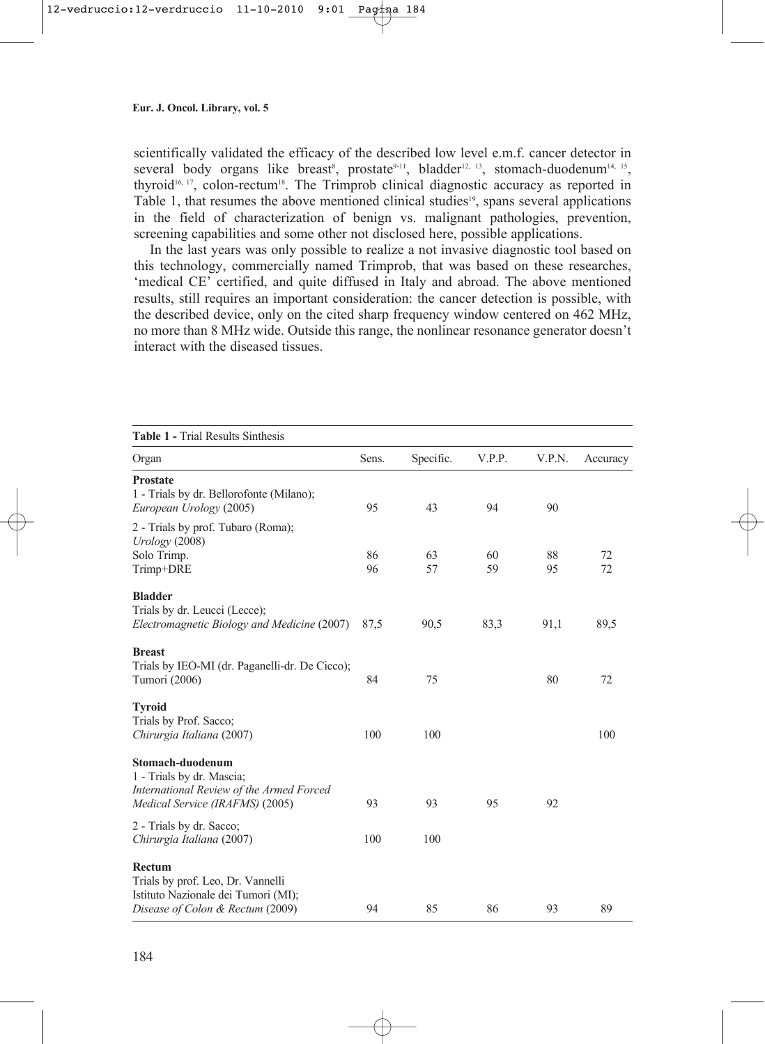scientifically validated the efficacy of the described low level e.m.f. cancer detector in several body organs like breast<sup>8</sup>, prostate<sup>9-11</sup>, bladder<sup>12, 13</sup>, stomach-duodenum<sup>14, 15</sup>, thyroid<sup>16, 17</sup>, colon-rectum<sup>18</sup>. The Trimprob clinical diagnostic accuracy as reported in Table 1, that resumes the above mentioned clinical studies<sup>19</sup>, spans several applications in the field of characterization of benign vs. malignant pathologies, prevention, screening capabilities and some other not disclosed here, possible applications.

In the last years was only possible to realize a not invasive diagnostic tool based on this technology, commercially named Trimprob, that was based on these researches, 'medical CE' certified, and quite diffused in Italy and abroad. The above mentioned results, still requires an important consideration: the cancer detection is possible, with the described device, only on the cited sharp frequency window centered on 462 MHz, no more than 8 MHz wide. Outside this range, the nonlinear resonance generator doesn't interact with the diseased tissues.

| <b>Table 1 - Trial Results Sinthesis</b>                                                                                     |          |           |          |          |          |  |  |
|------------------------------------------------------------------------------------------------------------------------------|----------|-----------|----------|----------|----------|--|--|
| Organ                                                                                                                        | Sens.    | Specific. | V.P.P.   | V.P.N.   | Accuracy |  |  |
| <b>Prostate</b><br>1 - Trials by dr. Bellorofonte (Milano);<br>European Urology (2005)                                       | 95       | 43        | 94       | 90       |          |  |  |
| 2 - Trials by prof. Tubaro (Roma);<br>Urology (2008)                                                                         |          |           |          |          |          |  |  |
| Solo Trimp.<br>Trimp+DRE                                                                                                     | 86<br>96 | 63<br>57  | 60<br>59 | 88<br>95 | 72<br>72 |  |  |
| <b>Bladder</b><br>Trials by dr. Leucci (Lecce);<br>Electromagnetic Biology and Medicine (2007)                               | 87,5     | 90,5      | 83,3     | 91,1     | 89,5     |  |  |
| <b>Breast</b><br>Trials by IEO-MI (dr. Paganelli-dr. De Cicco);<br>Tumori (2006)                                             | 84       | 75        |          | 80       | 72       |  |  |
| <b>Tyroid</b><br>Trials by Prof. Sacco;<br>Chirurgia Italiana (2007)                                                         | 100      | 100       |          |          | 100      |  |  |
| Stomach-duodenum<br>1 - Trials by dr. Mascia;<br>International Review of the Armed Forced<br>Medical Service (IRAFMS) (2005) | 93       | 93        | 95       | 92       |          |  |  |
| 2 - Trials by dr. Sacco;<br>Chirurgia Italiana (2007)                                                                        | 100      | 100       |          |          |          |  |  |
| <b>Rectum</b><br>Trials by prof. Leo, Dr. Vannelli<br>Istituto Nazionale dei Tumori (MI);                                    |          |           |          |          |          |  |  |
| Disease of Colon & Rectum (2009)                                                                                             | 94       | 85        | 86       | 93       | 89       |  |  |